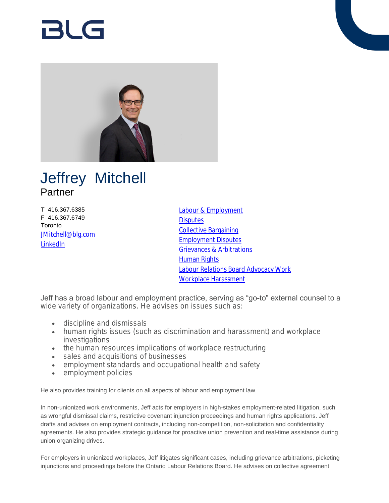# RI G



# Jeffrey Mitchell Partner

T 416.367.6385 F 416.367.6749 **Toronto** [JMitchell@blg.com](mailto:JMitchell@blg.com) [LinkedIn](https://www.linkedin.com/in/jeffreypmitchell)

[Labour & Employment](https://www.blg.com/en/services/practice-areas/labour-,-a-,-employment) **[Disputes](https://www.blg.com/en/services/practice-areas/disputes)** [Collective Bargaining](https://www.blg.com/en/services/practice-areas/labour-,-a-,-employment/collective-bargaining) [Employment Disputes](https://www.blg.com/en/services/practice-areas/disputes/employment-disputes) [Grievances & Arbitrations](https://www.blg.com/en/services/practice-areas/labour-,-a-,-employment/grievances-arbitrations) [Human Rights](https://www.blg.com/en/services/practice-areas/labour-,-a-,-employment/human-rights) [Labour Relations Board Advocacy Work](https://www.blg.com/en/services/practice-areas/labour-,-a-,-employment/labour-relations-board-advocacy-work) [Workplace Harassment](https://www.blg.com/en/services/practice-areas/labour-,-a-,-employment/workplace-harassment)

Jeff has a broad labour and employment practice, serving as "go-to" external counsel to a wide variety of organizations. He advises on issues such as:

- discipline and dismissals
- human rights issues (such as discrimination and harassment) and workplace investigations
- the human resources implications of workplace restructuring
- sales and acquisitions of businesses
- employment standards and occupational health and safety
- employment policies

He also provides training for clients on all aspects of labour and employment law.

In non-unionized work environments, Jeff acts for employers in high-stakes employment-related litigation, such as wrongful dismissal claims, restrictive covenant injunction proceedings and human rights applications. Jeff drafts and advises on employment contracts, including non-competition, non-solicitation and confidentiality agreements. He also provides strategic guidance for proactive union prevention and real-time assistance during union organizing drives.

For employers in unionized workplaces, Jeff litigates significant cases, including grievance arbitrations, picketing injunctions and proceedings before the Ontario Labour Relations Board. He advises on collective agreement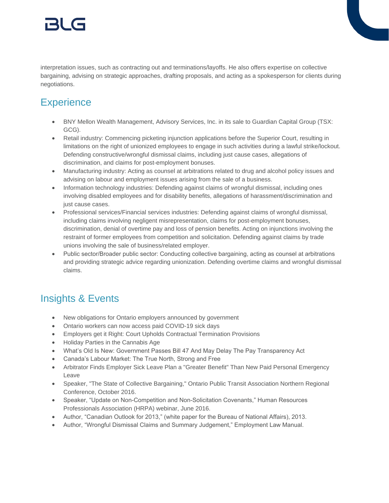# 151 (-

interpretation issues, such as contracting out and terminations/layoffs. He also offers expertise on collective bargaining, advising on strategic approaches, drafting proposals, and acting as a spokesperson for clients during negotiations.

## **Experience**

- BNY Mellon Wealth Management, Advisory Services, Inc. in its sale to Guardian Capital Group (TSX: GCG).
- Retail industry: Commencing picketing injunction applications before the Superior Court, resulting in limitations on the right of unionized employees to engage in such activities during a lawful strike/lockout. Defending constructive/wrongful dismissal claims, including just cause cases, allegations of discrimination, and claims for post-employment bonuses.
- Manufacturing industry: Acting as counsel at arbitrations related to drug and alcohol policy issues and advising on labour and employment issues arising from the sale of a business.
- Information technology industries: Defending against claims of wrongful dismissal, including ones involving disabled employees and for disability benefits, allegations of harassment/discrimination and just cause cases.
- Professional services/Financial services industries: Defending against claims of wrongful dismissal, including claims involving negligent misrepresentation, claims for post-employment bonuses, discrimination, denial of overtime pay and loss of pension benefits. Acting on injunctions involving the restraint of former employees from competition and solicitation. Defending against claims by trade unions involving the sale of business/related employer.
- Public sector/Broader public sector: Conducting collective bargaining, acting as counsel at arbitrations and providing strategic advice regarding unionization. Defending overtime claims and wrongful dismissal claims.

### Insights & Events

- New obligations for Ontario employers announced by government
- Ontario workers can now access paid COVID-19 sick days
- Employers get it Right: Court Upholds Contractual Termination Provisions
- Holiday Parties in the Cannabis Age
- What's Old Is New: Government Passes Bill 47 And May Delay The Pay Transparency Act
- Canada's Labour Market: The True North, Strong and Free
- Arbitrator Finds Employer Sick Leave Plan a "Greater Benefit" Than New Paid Personal Emergency Leave
- Speaker, "The State of Collective Bargaining," Ontario Public Transit Association Northern Regional Conference, October 2016.
- Speaker, "Update on Non-Competition and Non-Solicitation Covenants," Human Resources Professionals Association (HRPA) webinar, June 2016.
- Author, "Canadian Outlook for 2013," (white paper for the Bureau of National Affairs), 2013.
- Author, "Wrongful Dismissal Claims and Summary Judgement," Employment Law Manual.